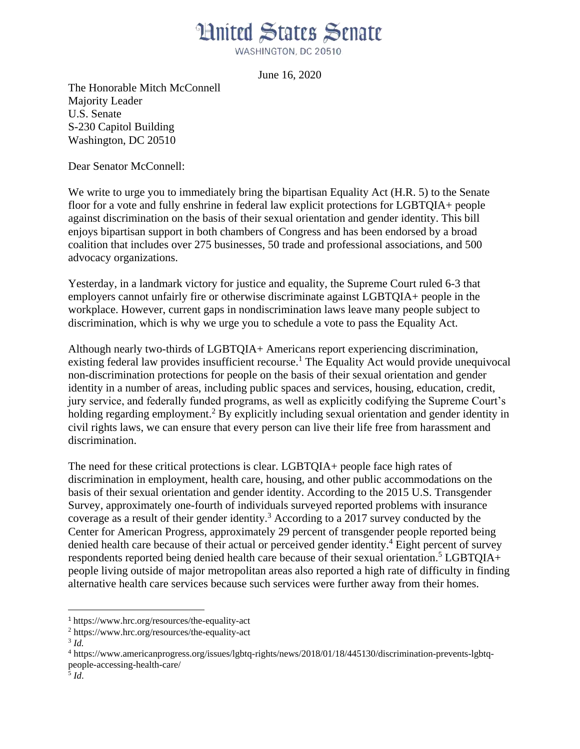WASHINGTON, DC 20510

June 16, 2020

The Honorable Mitch McConnell Majority Leader U.S. Senate S-230 Capitol Building Washington, DC 20510

Dear Senator McConnell:

We write to urge you to immediately bring the bipartisan Equality Act (H.R. 5) to the Senate floor for a vote and fully enshrine in federal law explicit protections for LGBTQIA+ people against discrimination on the basis of their sexual orientation and gender identity. This bill enjoys bipartisan support in both chambers of Congress and has been endorsed by a broad coalition that includes over 275 businesses, 50 trade and professional associations, and 500 advocacy organizations.

Yesterday, in a landmark victory for justice and equality, the Supreme Court ruled 6-3 that employers cannot unfairly fire or otherwise discriminate against LGBTQIA+ people in the workplace. However, current gaps in nondiscrimination laws leave many people subject to discrimination, which is why we urge you to schedule a vote to pass the Equality Act.

Although nearly two-thirds of LGBTQIA+ Americans report experiencing discrimination, existing federal law provides insufficient recourse.<sup>1</sup> The Equality Act would provide unequivocal non-discrimination protections for people on the basis of their sexual orientation and gender identity in a number of areas, including public spaces and services, housing, education, credit, jury service, and federally funded programs, as well as explicitly codifying the Supreme Court's holding regarding employment.<sup>2</sup> By explicitly including sexual orientation and gender identity in civil rights laws, we can ensure that every person can live their life free from harassment and discrimination.

The need for these critical protections is clear. LGBTQIA+ people face high rates of discrimination in employment, health care, housing, and other public accommodations on the basis of their sexual orientation and gender identity. According to the 2015 U.S. Transgender Survey, approximately one-fourth of individuals surveyed reported problems with insurance coverage as a result of their gender identity.<sup>3</sup> According to a 2017 survey conducted by the Center for American Progress, approximately 29 percent of transgender people reported being denied health care because of their actual or perceived gender identity.<sup>4</sup> Eight percent of survey respondents reported being denied health care because of their sexual orientation.<sup>5</sup> LGBTQIA+ people living outside of major metropolitan areas also reported a high rate of difficulty in finding alternative health care services because such services were further away from their homes.

 $\overline{\phantom{a}}$ 

<sup>1</sup> https://www.hrc.org/resources/the-equality-act

<sup>2</sup> https://www.hrc.org/resources/the-equality-act

<sup>3</sup> *Id.*

<sup>4</sup> https://www.americanprogress.org/issues/lgbtq-rights/news/2018/01/18/445130/discrimination-prevents-lgbtqpeople-accessing-health-care/ 5 *Id*.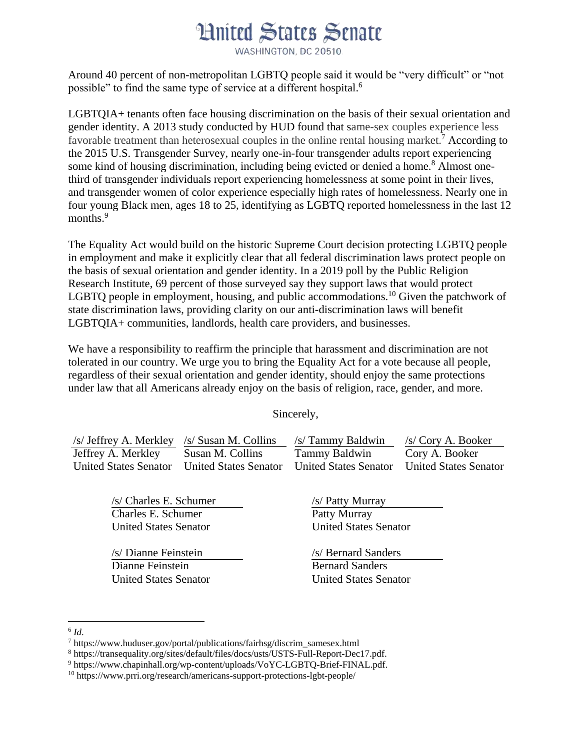WASHINGTON, DC 20510

Around 40 percent of non-metropolitan LGBTQ people said it would be "very difficult" or "not possible" to find the same type of service at a different hospital.<sup>6</sup>

LGBTQIA+ tenants often face housing discrimination on the basis of their sexual orientation and gender identity. A 2013 study conducted by HUD found that same-sex couples experience less favorable treatment than heterosexual couples in the online rental housing market.<sup>7</sup> According to the 2015 U.S. Transgender Survey, nearly one-in-four transgender adults report experiencing some kind of housing discrimination, including being evicted or denied a home.<sup>8</sup> Almost onethird of transgender individuals report experiencing homelessness at some point in their lives, and transgender women of color experience especially high rates of homelessness. Nearly one in four young Black men, ages 18 to 25, identifying as LGBTQ reported homelessness in the last 12 months.<sup>9</sup>

The Equality Act would build on the historic Supreme Court decision protecting LGBTQ people in employment and make it explicitly clear that all federal discrimination laws protect people on the basis of sexual orientation and gender identity. In a 2019 poll by the Public Religion Research Institute, 69 percent of those surveyed say they support laws that would protect LGBTQ people in employment, housing, and public accommodations.<sup>10</sup> Given the patchwork of state discrimination laws, providing clarity on our anti-discrimination laws will benefit LGBTQIA+ communities, landlords, health care providers, and businesses.

We have a responsibility to reaffirm the principle that harassment and discrimination are not tolerated in our country. We urge you to bring the Equality Act for a vote because all people, regardless of their sexual orientation and gender identity, should enjoy the same protections under law that all Americans already enjoy on the basis of religion, race, gender, and more.

Sincerely,

| /s/ Jeffrey A. Merkley /s/ Susan M. Collins |                       | /s/ Tammy Baldwin            | /s/Cory A. Booker            |
|---------------------------------------------|-----------------------|------------------------------|------------------------------|
| Jeffrey A. Merkley                          | Susan M. Collins      | Tammy Baldwin                | Cory A. Booker               |
| <b>United States Senator</b>                | United States Senator | <b>United States Senator</b> | <b>United States Senator</b> |

/s/ Charles E. Schumer Charles E. Schumer United States Senator

/s/ Dianne Feinstein Dianne Feinstein United States Senator /s/ Patty Murray Patty Murray United States Senator

/s/ Bernard Sanders Bernard Sanders United States Senator

 $\overline{\phantom{a}}$ 6 *Id*.

<sup>7</sup> https://www.huduser.gov/portal/publications/fairhsg/discrim\_samesex.html

<sup>8</sup> https://transequality.org/sites/default/files/docs/usts/USTS-Full-Report-Dec17.pdf.

<sup>9</sup> https://www.chapinhall.org/wp-content/uploads/VoYC-LGBTQ-Brief-FINAL.pdf.

<sup>10</sup> https://www.prri.org/research/americans-support-protections-lgbt-people/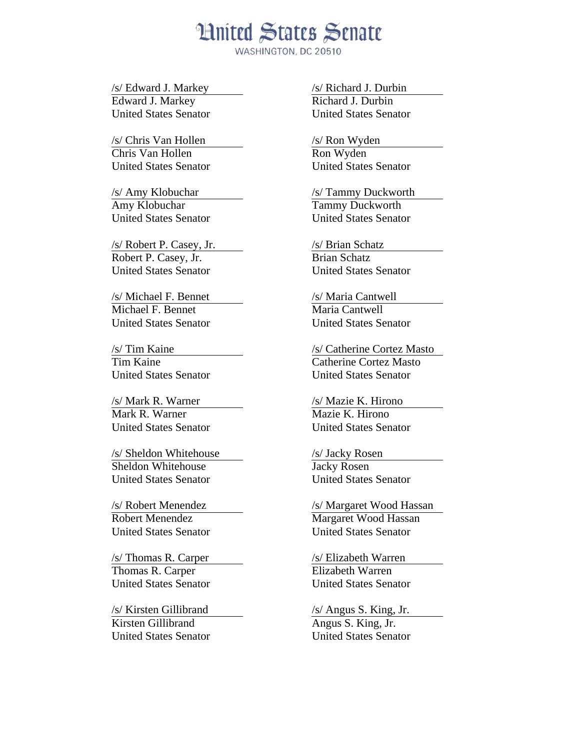WASHINGTON, DC 20510

/s/ Edward J. Markey Edward J. Markey United States Senator

/s/ Chris Van Hollen Chris Van Hollen United States Senator

/s/ Amy Klobuchar Amy Klobuchar United States Senator

/s/ Robert P. Casey, Jr. Robert P. Casey, Jr. United States Senator

/s/ Michael F. Bennet Michael F. Bennet United States Senator

/s/ Tim Kaine Tim Kaine United States Senator

/s/ Mark R. Warner Mark R. Warner United States Senator

/s/ Sheldon Whitehouse Sheldon Whitehouse United States Senator

/s/ Robert Menendez Robert Menendez United States Senator

/s/ Thomas R. Carper Thomas R. Carper United States Senator

/s/ Kirsten Gillibrand Kirsten Gillibrand United States Senator /s/ Richard J. Durbin Richard J. Durbin United States Senator

/s/ Ron Wyden Ron Wyden United States Senator

/s/ Tammy Duckworth Tammy Duckworth United States Senator

/s/ Brian Schatz Brian Schatz United States Senator

/s/ Maria Cantwell Maria Cantwell United States Senator

/s/ Catherine Cortez Masto Catherine Cortez Masto United States Senator

/s/ Mazie K. Hirono Mazie K. Hirono United States Senator

/s/ Jacky Rosen Jacky Rosen United States Senator

/s/ Margaret Wood Hassan Margaret Wood Hassan United States Senator

/s/ Elizabeth Warren Elizabeth Warren United States Senator

/s/ Angus S. King, Jr.

Angus S. King, Jr. United States Senator